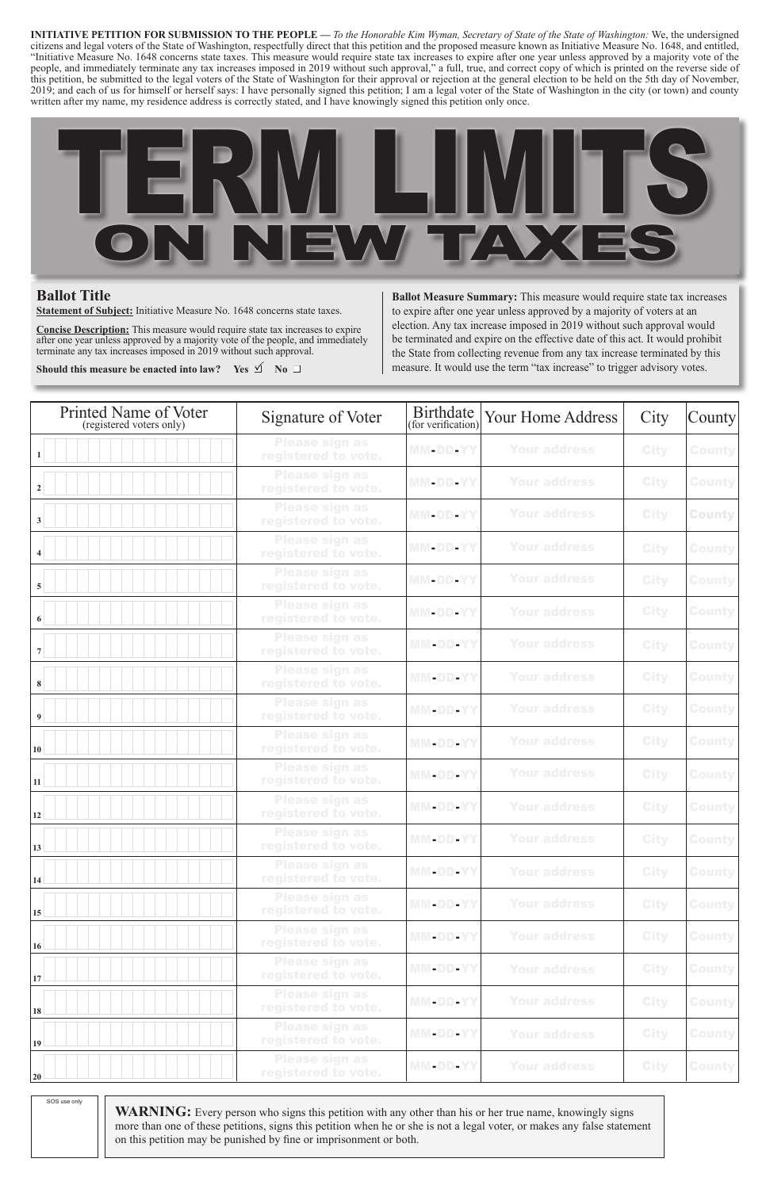**WARNING:** Every person who signs this petition with any other than his or her true name, knowingly signs more than one of these petitions, signs this petition when he or she is not a legal voter, or makes any false statement on this petition may be punished by fine or imprisonment or both.

SOS use only

**Ballot Measure Summary:** This measure would require state tax increases to expire after one year unless approved by a majority of voters at an election. Any tax increase imposed in 2019 without such approval would be terminated and expire on the effective date of this act. It would prohibit the State from collecting revenue from any tax increase terminated by this measure. It would use the term "tax increase" to trigger advisory votes.

| Printed Name of Voter<br>(registered voters only) | Signature of Voter                           | <b>Birthdate</b><br>(for verification) | <b>Your Home Address</b> | City        | County        |
|---------------------------------------------------|----------------------------------------------|----------------------------------------|--------------------------|-------------|---------------|
| 1 <sup>1</sup>                                    | <b>Please sign as</b><br>registered to vote. | MM-DD-YY                               | <b>Your address</b>      | <b>City</b> | <b>County</b> |
| 2 <sup>1</sup>                                    | <b>Please sign as</b><br>registered to vote. | MM-DD-YY                               | <b>Your address</b>      | <b>City</b> | <b>County</b> |
| 3 <sup>1</sup>                                    | <b>Please sign as</b><br>registered to vote. | MM-DD-YY                               | <b>Your address</b>      | <b>City</b> | <b>County</b> |
| $\vert 4 \vert$                                   | <b>Please sign as</b><br>registered to vote. | MM-DD-YY                               | <b>Your address</b>      | <b>City</b> | <b>County</b> |
| 5 <sup>1</sup>                                    | <b>Please sign as</b><br>registered to vote. | MM-DD-YY                               | <b>Your address</b>      | <b>City</b> | <b>County</b> |
| 6                                                 | <b>Please sign as</b><br>registered to vote. | MM-DD-YY                               | <b>Your address</b>      | <b>City</b> | <b>County</b> |
| 7 <sup>1</sup>                                    | <b>Please sign as</b><br>registered to vote. | MM-DD-YY                               | <b>Your address</b>      | <b>City</b> | <b>County</b> |
| 8 <sup>1</sup>                                    | <b>Please sign as</b><br>registered to vote. | <b>MM-DD-YY</b>                        | <b>Your address</b>      | <b>City</b> | <b>County</b> |
| 9 <sup>1</sup>                                    | <b>Please sign as</b><br>registered to vote. | MM-DD-YY                               | <b>Your address</b>      | <b>City</b> | <b>County</b> |
| 10 <sup>1</sup>                                   | <b>Please sign as</b><br>registered to vote. | MM-DD-YY                               | <b>Your address</b>      | <b>City</b> | <b>County</b> |
| 11                                                | <b>Please sign as</b><br>registered to vote. | <b>MM-DD-YY</b>                        | <b>Your address</b>      | <b>City</b> | <b>County</b> |
| 12                                                | <b>Please sign as</b><br>registered to vote. | MM-DD-YY                               | <b>Your address</b>      | <b>City</b> | <b>County</b> |
| 13                                                | <b>Please sign as</b><br>registered to vote. | MM-DD-YY                               | <b>Your address</b>      | <b>City</b> | <b>County</b> |
| 14                                                | <b>Please sign as</b><br>registered to vote. | MM-DD-YY                               | <b>Your address</b>      | <b>City</b> | <b>County</b> |
| 15                                                | <b>Please sign as</b><br>registered to vote. | <b>MM-DD-YY</b>                        | <b>Your address</b>      | <b>City</b> | <b>County</b> |
| 16                                                | <b>Please sign as</b><br>registered to vote. | MM-DD-YY                               | <b>Your address</b>      | <b>City</b> | <b>County</b> |
| 17                                                | <b>Please sign as</b><br>registered to vote. | <b>MM-DD-YY</b>                        | <b>Your address</b>      | <b>City</b> | <b>County</b> |
| 18                                                | <b>Please sign as</b><br>registered to vote. | MM-DD-YY                               | <b>Your address</b>      | <b>City</b> | <b>County</b> |
| 19                                                | <b>Please sign as</b><br>registered to vote. | <b>MM-DD-YY</b>                        | <b>Your address</b>      | <b>City</b> | <b>County</b> |
| 20                                                | <b>Please sign as</b><br>registered to vote. | MM-DD-YY                               | <b>Your address</b>      | <b>City</b> | <b>County</b> |

## **Ballot Title**

**Statement of Subject:** Initiative Measure No. 1648 concerns state taxes.

**Concise Description:** This measure would require state tax increases to expire after one year unless approved by a majority vote of the people, and immediately terminate any tax increases imposed in 2019 without such approval.

**Should this measure be enacted into law?** Yes  $\mathbb{I}$  No  $\Box$ 

**INITIATIVE PETITION FOR SUBMISSION TO THE PEOPLE —** *To the Honorable Kim Wyman, Secretary of State of the State of Washington:* We, the undersigned citizens and legal voters of the State of Washington, respectfully direct that this petition and the proposed measure known as Initiative Measure No. 1648, and entitled, "Initiative Measure No. 1648 concerns state taxes. This measure would require state tax increases to expire after one year unless approved by a majority vote of the people, and immediately terminate any tax increases imposed in 2019 without such approval," a full, true, and correct copy of which is printed on the reverse side of this petition, be submitted to the legal voters of the State of Washington for their approval or rejection at the general election to be held on the 5th day of November, 2019; and each of us for himself or herself says: I have personally signed this petition; I am a legal voter of the State of Washington in the city (or town) and county written after my name, my residence address is correctly stated, and I have knowingly signed this petition only once.